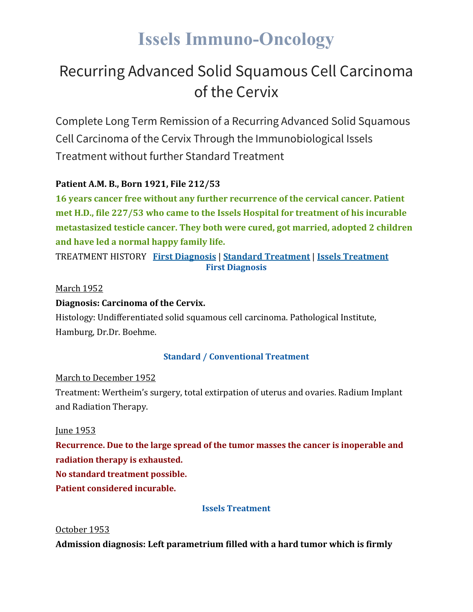# **Issels Immuno-Oncology**

# Recurring Advanced Solid Squamous Cell Carcinoma of the Cervix

Complete Long Term Remission of a Recurring Advanced Solid Squamous Cell Carcinoma of the Cervix Through the Immunobiological Issels Treatment without further Standard Treatment

# **Patient A.M. B., Born 1921, File 212/53**

**16 years cancer free without any further recurrence of the cervical cancer. Patient met H.D., file 227/53 who came to the Issels Hospital for treatment of his incurable metastasized testicle cancer. They both were cured, got married, adopted 2 children and have led a normal happy family life.**

TREATMENT HISTORY **First [Diagnosis](https://issels.com/cancer-cases/squamous-cell-3-recurring-advanced-solid-squamous-cell-cervical-carcinoma/#First)** | **Standard [Treatment](https://issels.com/cancer-cases/squamous-cell-3-recurring-advanced-solid-squamous-cell-cervical-carcinoma/#Standard)** | **Issels [Treatment](https://issels.com/cancer-cases/squamous-cell-3-recurring-advanced-solid-squamous-cell-cervical-carcinoma/#Issels) First Diagnosis**

#### March 1952

# **Diagnosis: Carcinoma of the Cervix.**

Histology: Undifferentiated solid squamous cell carcinoma. Pathological Institute, Hamburg, Dr.Dr. Boehme.

## **Standard / Conventional Treatment**

## March to December 1952

Treatment: Wertheim's surgery, total extirpation of uterus and ovaries. Radium Implant and Radiation Therapy.

#### **Iune 1953**

**Recurrence. Due to the large spread of the tumor masses the cancer is inoperable and radiation therapy is exhausted. No standard treatment possible.**

**Patient considered incurable.**

#### **Issels Treatment**

#### October 1953

**Admission diagnosis: Left parametrium filled with a hard tumor which is firmly**